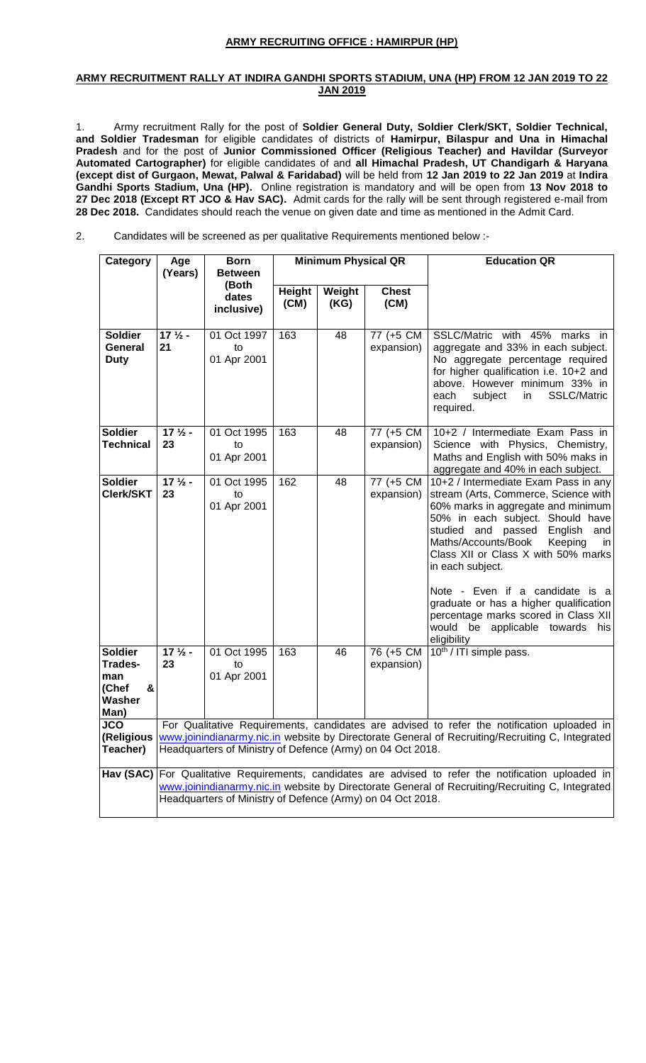## **ARMY RECRUITING OFFICE : HAMIRPUR (HP)**

#### **ARMY RECRUITMENT RALLY AT INDIRA GANDHI SPORTS STADIUM, UNA (HP) FROM 12 JAN 2019 TO 22 JAN 2019**

1. Army recruitment Rally for the post of **Soldier General Duty, Soldier Clerk/SKT, Soldier Technical, and Soldier Tradesman** for eligible candidates of districts of **Hamirpur, Bilaspur and Una in Himachal Pradesh** and for the post of **Junior Commissioned Officer (Religious Teacher) and Havildar (Surveyor Automated Cartographer)** for eligible candidates of and **all Himachal Pradesh, UT Chandigarh & Haryana (except dist of Gurgaon, Mewat, Palwal & Faridabad)** will be held from **12 Jan 2019 to 22 Jan 2019** at **Indira Gandhi Sports Stadium, Una (HP).** Online registration is mandatory and will be open from **13 Nov 2018 to 27 Dec 2018 (Except RT JCO & Hav SAC).** Admit cards for the rally will be sent through registered e-mail from **28 Dec 2018.** Candidates should reach the venue on given date and time as mentioned in the Admit Card.

2. Candidates will be screened as per qualitative Requirements mentioned below :-

| Category                                                         | Age<br>(Years)                                                                                                                                                                                                                                                        | <b>Born</b><br><b>Between</b>    | <b>Minimum Physical QR</b> |                |                         | <b>Education QR</b>                                                                                                                                                                                                                                                                                                                                                                                                                                                      |  |
|------------------------------------------------------------------|-----------------------------------------------------------------------------------------------------------------------------------------------------------------------------------------------------------------------------------------------------------------------|----------------------------------|----------------------------|----------------|-------------------------|--------------------------------------------------------------------------------------------------------------------------------------------------------------------------------------------------------------------------------------------------------------------------------------------------------------------------------------------------------------------------------------------------------------------------------------------------------------------------|--|
|                                                                  |                                                                                                                                                                                                                                                                       | (Both<br>dates<br>inclusive)     | <b>Height</b><br>(CM)      | Weight<br>(KG) | <b>Chest</b><br>(CM)    |                                                                                                                                                                                                                                                                                                                                                                                                                                                                          |  |
| <b>Soldier</b><br>General<br><b>Duty</b>                         | $171/2$ -<br>21                                                                                                                                                                                                                                                       | 01 Oct 1997<br>to<br>01 Apr 2001 | 163                        | 48             | 77 (+5 CM<br>expansion) | SSLC/Matric with 45% marks in<br>aggregate and 33% in each subject.<br>No aggregate percentage required<br>for higher qualification i.e. 10+2 and<br>above. However minimum 33% in<br><b>SSLC/Matric</b><br>each<br>subject<br>in<br>required.                                                                                                                                                                                                                           |  |
| <b>Soldier</b><br><b>Technical</b>                               | $172$ -<br>23                                                                                                                                                                                                                                                         | 01 Oct 1995<br>to<br>01 Apr 2001 | 163                        | 48             | 77 (+5 CM<br>expansion) | 10+2 / Intermediate Exam Pass in<br>Science with Physics, Chemistry,<br>Maths and English with 50% maks in<br>aggregate and 40% in each subject.                                                                                                                                                                                                                                                                                                                         |  |
| <b>Soldier</b><br>Clerk/SKT                                      | $17\frac{1}{2}$ -<br>23                                                                                                                                                                                                                                               | 01 Oct 1995<br>to<br>01 Apr 2001 | 162                        | 48             | 77 (+5 CM<br>expansion) | 10+2 / Intermediate Exam Pass in any<br>stream (Arts, Commerce, Science with<br>60% marks in aggregate and minimum<br>50% in each subject. Should have<br>studied and passed English<br>and<br>Maths/Accounts/Book<br>Keeping<br>in<br>Class XII or Class X with 50% marks<br>in each subject.<br>Note - Even if a candidate is a<br>graduate or has a higher qualification<br>percentage marks scored in Class XII<br>would be applicable towards<br>his<br>eligibility |  |
| <b>Soldier</b><br>Trades-<br>man<br>(Chef<br>&<br>Washer<br>Man) | $171/2$ -<br>23                                                                                                                                                                                                                                                       | 01 Oct 1995<br>to<br>01 Apr 2001 | 163                        | 46             | 76 (+5 CM<br>expansion) | 10th / ITI simple pass.                                                                                                                                                                                                                                                                                                                                                                                                                                                  |  |
| JCO<br>(Religious<br>Teacher)                                    | For Qualitative Requirements, candidates are advised to refer the notification uploaded in<br>www.joinindianarmy.nic.in website by Directorate General of Recruiting/Recruiting C, Integrated<br>Headquarters of Ministry of Defence (Army) on 04 Oct 2018.           |                                  |                            |                |                         |                                                                                                                                                                                                                                                                                                                                                                                                                                                                          |  |
|                                                                  | Hav (SAC) For Qualitative Requirements, candidates are advised to refer the notification uploaded in<br>www.joinindianarmy.nic.in website by Directorate General of Recruiting/Recruiting C, Integrated<br>Headquarters of Ministry of Defence (Army) on 04 Oct 2018. |                                  |                            |                |                         |                                                                                                                                                                                                                                                                                                                                                                                                                                                                          |  |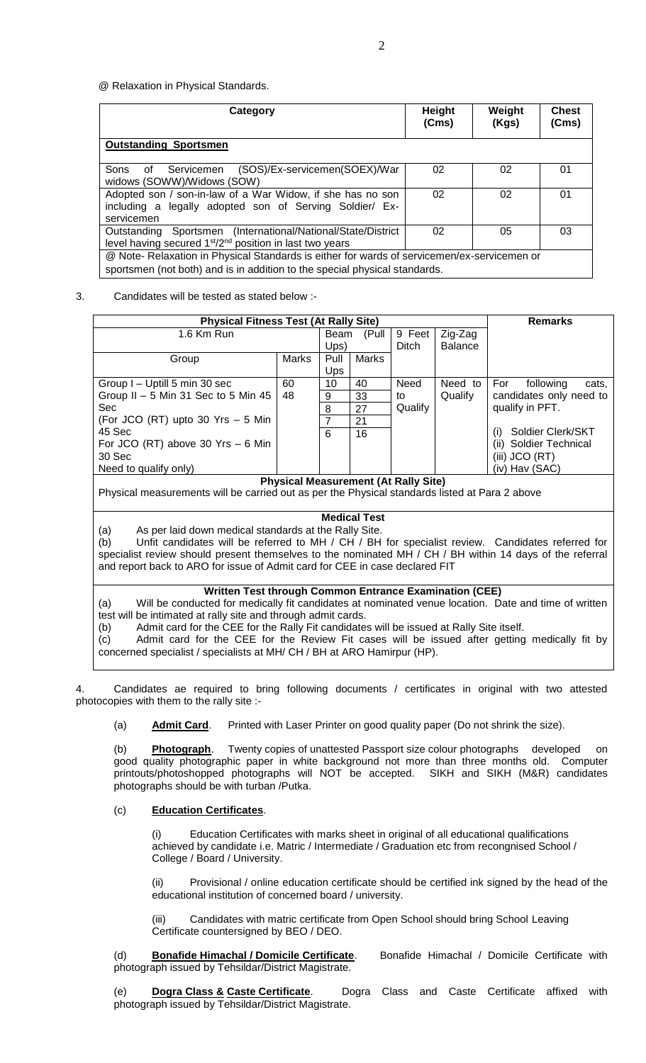@ Relaxation in Physical Standards.

| Category                                                                                                                                                                  | <b>Height</b><br>(Cms) | Weight<br>(Kgs) | <b>Chest</b><br>(Cms) |  |  |
|---------------------------------------------------------------------------------------------------------------------------------------------------------------------------|------------------------|-----------------|-----------------------|--|--|
| <b>Outstanding Sportsmen</b>                                                                                                                                              |                        |                 |                       |  |  |
| Servicemen (SOS)/Ex-servicemen(SOEX)/War<br>Sons<br>of<br>widows (SOWW)/Widows (SOW)                                                                                      | 02                     | 02              | 01                    |  |  |
| Adopted son / son-in-law of a War Widow, if she has no son<br>including a legally adopted son of Serving Soldier/ Ex-<br>servicemen                                       | 02                     | 02              | 01                    |  |  |
| Outstanding Sportsmen (International/National/State/District<br>level having secured 1 <sup>st</sup> /2 <sup>nd</sup> position in last two years                          | 02                     | 05              | 03                    |  |  |
| @ Note- Relaxation in Physical Standards is either for wards of servicemen/ex-servicemen or<br>sportsmen (not both) and is in addition to the special physical standards. |                        |                 |                       |  |  |

### 3. Candidates will be tested as stated below :-

| <b>Physical Fitness Test (At Rally Site)</b>                                                   |       |            |               |         | <b>Remarks</b> |                                  |
|------------------------------------------------------------------------------------------------|-------|------------|---------------|---------|----------------|----------------------------------|
| 1.6 Km Run                                                                                     |       |            | (Pull<br>Beam | 9 Feet  | Zig-Zag        |                                  |
|                                                                                                |       | $U$ ps)    |               | Ditch   | <b>Balance</b> |                                  |
| Group                                                                                          | Marks | Pull       | Marks         |         |                |                                  |
|                                                                                                |       | <b>Ups</b> |               |         |                |                                  |
| Group I - Uptill 5 min 30 sec                                                                  | 60    | 10         | 40            | Need    | Need to        | For<br>following<br>cats.        |
| Group II $-5$ Min 31 Sec to 5 Min 45                                                           | 48    | 9          | 33            | to      | Qualify        | candidates only need to          |
| <b>Sec</b>                                                                                     |       | 8          | 27            | Qualify |                | qualify in PFT.                  |
| (For JCO (RT) upto 30 $Yrs - 5$ Min                                                            |       |            | 21            |         |                |                                  |
| 45 Sec                                                                                         |       | 6          | 16            |         |                | Soldier Clerk/SKT<br>(i)         |
| For JCO (RT) above 30 Yrs $-6$ Min                                                             |       |            |               |         |                | <b>Soldier Technical</b><br>(ii) |
| 30 Sec                                                                                         |       |            |               |         |                | (iii) JCO $(RT)$                 |
| Need to qualify only)                                                                          |       |            |               |         |                | (iv) Hav (SAC)                   |
| <b>Physical Measurement (At Rally Site)</b>                                                    |       |            |               |         |                |                                  |
| Dhugiaal measurements will be serried out as per the Dhugiaal standards listed at Dara 2 shous |       |            |               |         |                |                                  |

Physical measurements will be carried out as per the Physical standards listed at Para 2 above

## **Medical Test**

(a) As per laid down medical standards at the Rally Site.

(b) Unfit candidates will be referred to MH / CH / BH for specialist review. Candidates referred for specialist review should present themselves to the nominated MH / CH / BH within 14 days of the referral and report back to ARO for issue of Admit card for CEE in case declared FIT

#### **Written Test through Common Entrance Examination (CEE)**

(a) Will be conducted for medically fit candidates at nominated venue location. Date and time of written test will be intimated at rally site and through admit cards.

(b) Admit card for the CEE for the Rally Fit candidates will be issued at Rally Site itself.

(c) Admit card for the CEE for the Review Fit cases will be issued after getting medically fit by concerned specialist / specialists at MH/ CH / BH at ARO Hamirpur (HP).

4. Candidates ae required to bring following documents / certificates in original with two attested photocopies with them to the rally site :-

(a) **Admit Card**. Printed with Laser Printer on good quality paper (Do not shrink the size).

(b) **Photograph**. Twenty copies of unattested Passport size colour photographs developed on good quality photographic paper in white background not more than three months old. Computer printouts/photoshopped photographs will NOT be accepted. SIKH and SIKH (M&R) candidates photographs should be with turban /Putka.

## (c) **Education Certificates**.

(i) Education Certificates with marks sheet in original of all educational qualifications achieved by candidate i.e. Matric / Intermediate / Graduation etc from recongnised School / College / Board / University.

(ii) Provisional / online education certificate should be certified ink signed by the head of the educational institution of concerned board / university.

(iii) Candidates with matric certificate from Open School should bring School Leaving Certificate countersigned by BEO / DEO.

(d) **Bonafide Himachal / Domicile Certificate**. Bonafide Himachal / Domicile Certificate with photograph issued by Tehsildar/District Magistrate.

(e) **Dogra Class & Caste Certificate**. Dogra Class and Caste Certificate affixed with photograph issued by Tehsildar/District Magistrate.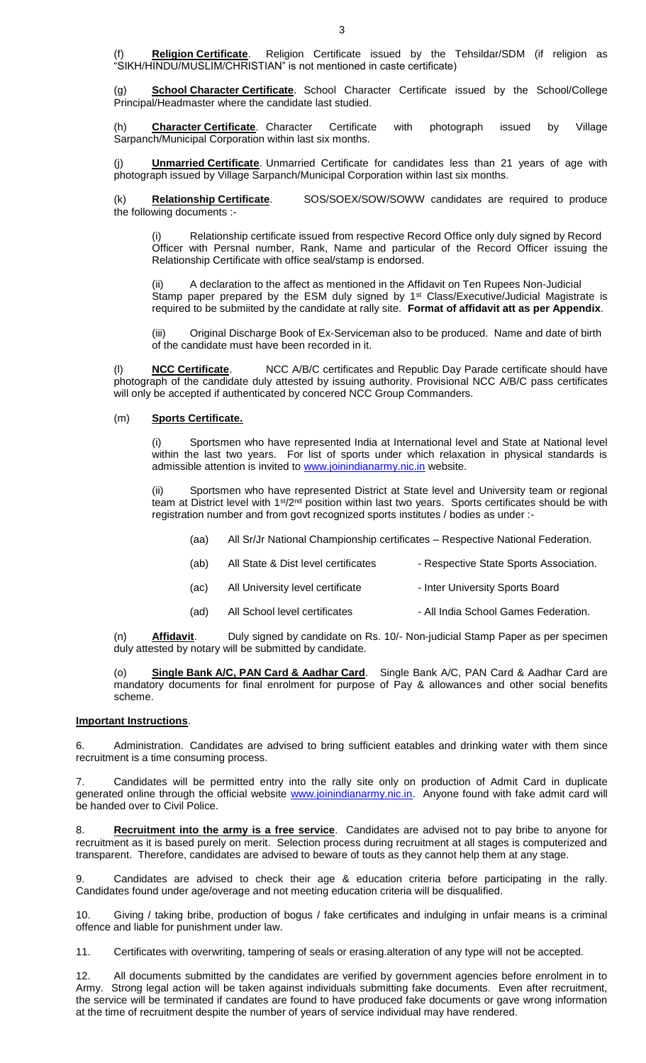Religion Certificate. Religion Certificate issued by the Tehsildar/SDM (if religion as "SIKH/HINDU/MUSLIM/CHRISTIAN" is not mentioned in caste certificate)

(g) **School Character Certificate**. School Character Certificate issued by the School/College Principal/Headmaster where the candidate last studied.

(h) **Character Certificate**. Character Certificate with photograph issued by Village Sarpanch/Municipal Corporation within last six months.

(j) **Unmarried Certificate**. Unmarried Certificate for candidates less than 21 years of age with photograph issued by Village Sarpanch/Municipal Corporation within last six months.

(k) **Relationship Certificate**. SOS/SOEX/SOW/SOWW candidates are required to produce the following documents :-

Relationship certificate issued from respective Record Office only duly signed by Record Officer with Persnal number, Rank, Name and particular of the Record Officer issuing the Relationship Certificate with office seal/stamp is endorsed.

A declaration to the affect as mentioned in the Affidavit on Ten Rupees Non-Judicial Stamp paper prepared by the ESM duly signed by 1<sup>st</sup> Class/Executive/Judicial Magistrate is required to be submiited by the candidate at rally site. **Format of affidavit att as per Appendix**.

(iii) Original Discharge Book of Ex-Serviceman also to be produced. Name and date of birth of the candidate must have been recorded in it.

**NCC Certificate**. NCC A/B/C certificates and Republic Day Parade certificate should have photograph of the candidate duly attested by issuing authority. Provisional NCC A/B/C pass certificates will only be accepted if authenticated by concered NCC Group Commanders.

#### (m) **Sports Certificate.**

(i) Sportsmen who have represented India at International level and State at National level within the last two years. For list of sports under which relaxation in physical standards is admissible attention is invited to [www.joinindianarmy.nic.in](http://www.joinindianarmy.nic.in/) website.

(ii) Sportsmen who have represented District at State level and University team or regional team at District level with 1<sup>st</sup>/2<sup>nd</sup> position within last two years. Sports certificates should be with registration number and from govt recognized sports institutes / bodies as under :-

| All Sr/Jr National Championship certificates – Respective National Federation.<br>(aa) |
|----------------------------------------------------------------------------------------|
|----------------------------------------------------------------------------------------|

| (ab) | All State & Dist level certificates | - Respective State Sports Association. |
|------|-------------------------------------|----------------------------------------|
| (ac) | All University level certificate    | - Inter University Sports Board        |
| (ad) | All School level certificates       | - All India School Games Federation.   |

(n) **Affidavit**. Duly signed by candidate on Rs. 10/- Non-judicial Stamp Paper as per specimen duly attested by notary will be submitted by candidate.

(o) **Single Bank A/C, PAN Card & Aadhar Card**. Single Bank A/C, PAN Card & Aadhar Card are mandatory documents for final enrolment for purpose of Pay & allowances and other social benefits scheme.

## **Important Instructions**.

6. Administration. Candidates are advised to bring sufficient eatables and drinking water with them since recruitment is a time consuming process.

7. Candidates will be permitted entry into the rally site only on production of Admit Card in duplicate generated online through the official website [www.joinindianarmy.nic.in.](http://www.joinindianarmy.nic.in/) Anyone found with fake admit card will be handed over to Civil Police.

8. **Recruitment into the army is a free service**. Candidates are advised not to pay bribe to anyone for recruitment as it is based purely on merit. Selection process during recruitment at all stages is computerized and transparent. Therefore, candidates are advised to beware of touts as they cannot help them at any stage.

9. Candidates are advised to check their age & education criteria before participating in the rally. Candidates found under age/overage and not meeting education criteria will be disqualified.

10. Giving / taking bribe, production of bogus / fake certificates and indulging in unfair means is a criminal offence and liable for punishment under law.

11. Certificates with overwriting, tampering of seals or erasing.alteration of any type will not be accepted.

12. All documents submitted by the candidates are verified by government agencies before enrolment in to Army. Strong legal action will be taken against individuals submitting fake documents. Even after recruitment, the service will be terminated if candates are found to have produced fake documents or gave wrong information at the time of recruitment despite the number of years of service individual may have rendered.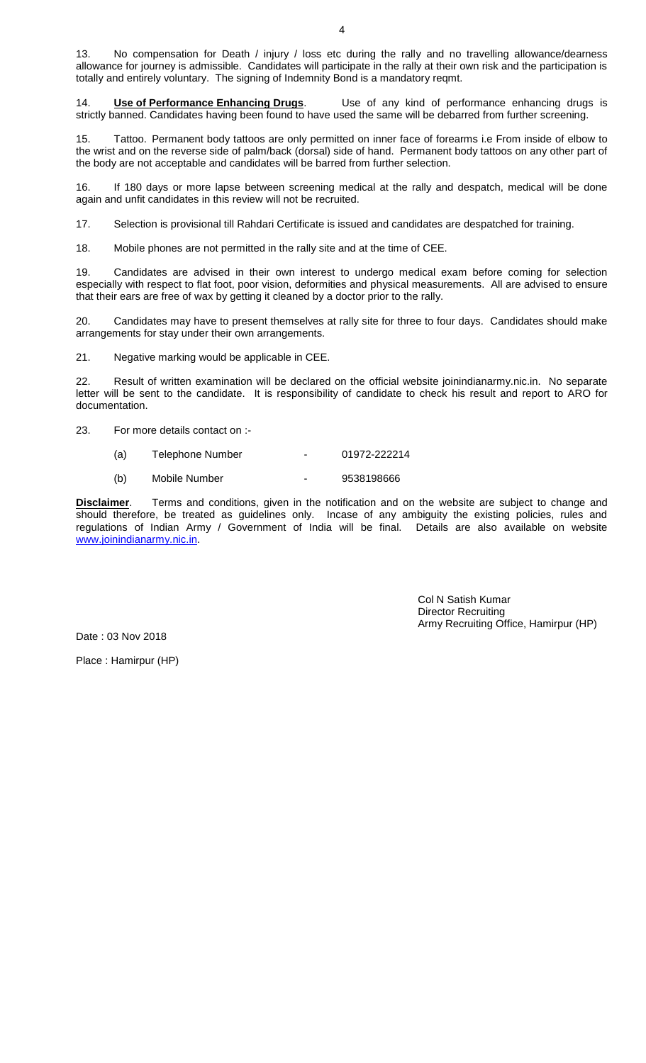14. **Use of Performance Enhancing Drugs**. Use of any kind of performance enhancing drugs is strictly banned. Candidates having been found to have used the same will be debarred from further screening.

15. Tattoo. Permanent body tattoos are only permitted on inner face of forearms i.e From inside of elbow to the wrist and on the reverse side of palm/back (dorsal) side of hand. Permanent body tattoos on any other part of the body are not acceptable and candidates will be barred from further selection.

16. If 180 days or more lapse between screening medical at the rally and despatch, medical will be done again and unfit candidates in this review will not be recruited.

17. Selection is provisional till Rahdari Certificate is issued and candidates are despatched for training.

18. Mobile phones are not permitted in the rally site and at the time of CEE.

19. Candidates are advised in their own interest to undergo medical exam before coming for selection especially with respect to flat foot, poor vision, deformities and physical measurements. All are advised to ensure that their ears are free of wax by getting it cleaned by a doctor prior to the rally.

20. Candidates may have to present themselves at rally site for three to four days. Candidates should make arrangements for stay under their own arrangements.

21. Negative marking would be applicable in CEE.

22. Result of written examination will be declared on the official website joinindianarmy.nic.in. No separate letter will be sent to the candidate. It is responsibility of candidate to check his result and report to ARO for documentation.

23. For more details contact on :-

- (a) Telephone Number 01972-222214
- (b) Mobile Number 9538198666

**Disclaimer**. Terms and conditions, given in the notification and on the website are subject to change and should therefore, be treated as guidelines only. Incase of any ambiguity the existing policies, rules and regulations of Indian Army / Government of India will be final. Details are also available on website [www.joinindianarmy.nic.in.](http://www.joinindianarmy.nic.in/)

> Col N Satish Kumar Director Recruiting Army Recruiting Office, Hamirpur (HP)

Date : 03 Nov 2018

Place : Hamirpur (HP)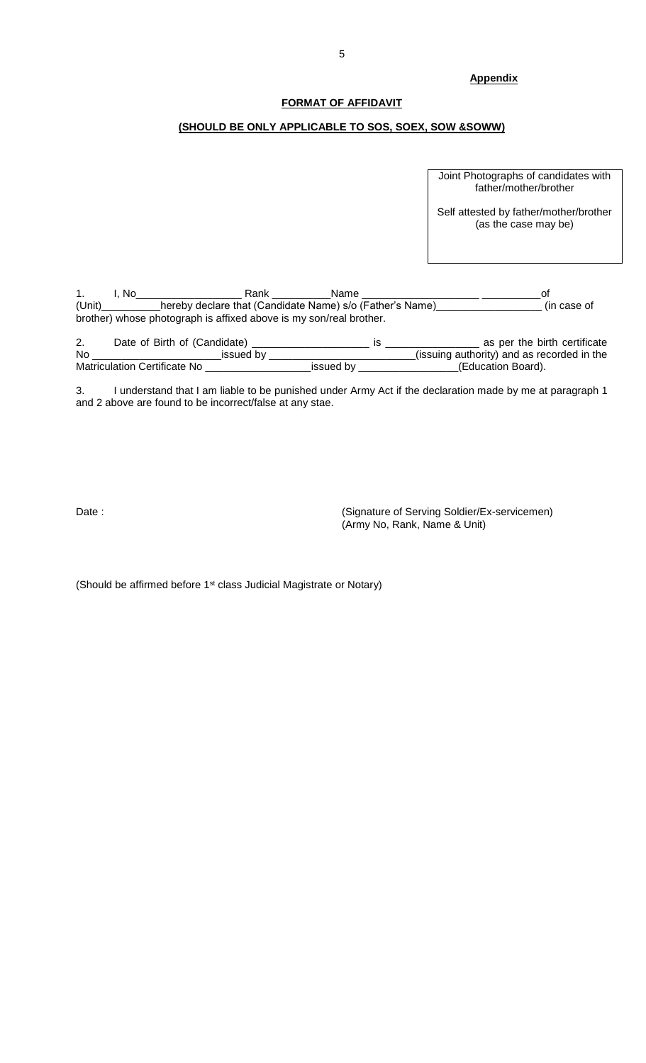## **Appendix**

#### **FORMAT OF AFFIDAVIT**

### **(SHOULD BE ONLY APPLICABLE TO SOS, SOEX, SOW &SOWW)**

Joint Photographs of candidates with father/mother/brother

Self attested by father/mother/brother (as the case may be)

1. I, No\_\_\_\_\_\_\_\_\_\_\_\_\_\_\_\_\_\_ Rank \_\_\_\_\_\_\_\_\_\_Name \_\_\_\_\_\_\_\_\_\_\_\_\_\_\_\_\_\_\_\_ \_\_\_\_\_\_\_\_\_\_of (Unit)\_\_\_\_\_\_\_\_\_\_hereby declare that (Candidate Name) s/o (Father's Name)\_\_\_\_\_\_\_\_\_\_\_\_\_\_\_\_\_\_ (in case of brother) whose photograph is affixed above is my son/real brother.

2. Date of Birth of (Candidate) \_\_\_\_\_\_\_\_\_\_\_\_\_\_\_\_\_\_\_\_ is \_\_\_\_\_\_\_\_\_\_\_\_\_\_\_\_ as per the birth certificate No \_\_\_\_\_\_\_\_\_\_\_\_\_\_\_\_\_\_\_\_\_\_issued by \_\_\_\_\_\_\_\_\_\_\_\_\_\_\_\_\_\_\_\_\_\_\_\_\_(issuing authority) and as recorded in the Matriculation Certificate No \_\_\_\_\_\_\_\_\_\_\_\_\_\_\_\_\_\_issued by \_\_\_\_\_\_\_\_\_\_\_\_\_\_\_\_\_(Education Board).

3. I understand that I am liable to be punished under Army Act if the declaration made by me at paragraph 1 and 2 above are found to be incorrect/false at any stae.

Date : Contract of Serving Soldier/Ex-servicemen) (Army No, Rank, Name & Unit)

(Should be affirmed before 1st class Judicial Magistrate or Notary)